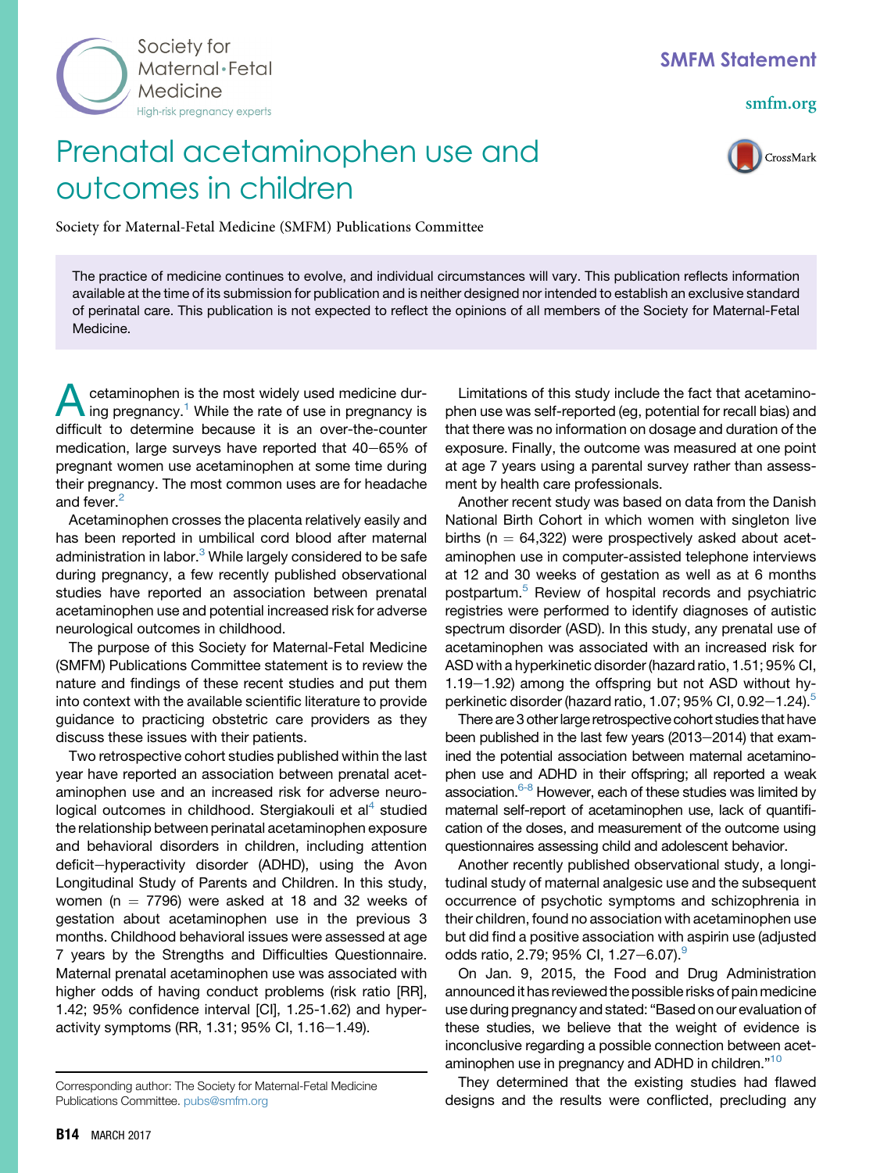

## SMFM Statement

[smfm.org](www.smfm.org)

CrossMark

## Prenatal acetaminophen use and outcomes in children

Society for Maternal-Fetal Medicine (SMFM) Publications Committee

The practice of medicine continues to evolve, and individual circumstances will vary. This publication reflects information available at the time of its submission for publication and is neither designed nor intended to establish an exclusive standard of perinatal care. This publication is not expected to reflect the opinions of all members of the Society for Maternal-Fetal Medicine.

**A** cetaminophen [is](#page-1-0) the most widely used medicine during pregnancy.<sup>1</sup> While the rate of use in pregnancy is difficult to determine because it is an over-the-counter medication, large surveys have reported that  $40-65%$  of pregnant women use acetaminophen at some time during their pregnancy. The most common uses are for headache and fever.<sup>[2](#page-1-0)</sup>

Acetaminophen crosses the placenta relatively easily and has been reported in umbilical cord blood after maternal administration in labor.<sup>[3](#page-1-0)</sup> While largely considered to be safe during pregnancy, a few recently published observational studies have reported an association between prenatal acetaminophen use and potential increased risk for adverse neurological outcomes in childhood.

The purpose of this Society for Maternal-Fetal Medicine (SMFM) Publications Committee statement is to review the nature and findings of these recent studies and put them into context with the available scientific literature to provide guidance to practicing obstetric care providers as they discuss these issues with their patients.

Two retrospective cohort studies published within the last year have reported an association between prenatal acetaminophen use and an increased risk for adverse neuro-logical outcomes in childhood. Stergiakouli et al<sup>[4](#page-1-0)</sup> studied the relationship between perinatal acetaminophen exposure and behavioral disorders in children, including attention deficit-hyperactivity disorder (ADHD), using the Avon Longitudinal Study of Parents and Children. In this study, women ( $n = 7796$ ) were asked at 18 and 32 weeks of gestation about acetaminophen use in the previous 3 months. Childhood behavioral issues were assessed at age 7 years by the Strengths and Difficulties Questionnaire. Maternal prenatal acetaminophen use was associated with higher odds of having conduct problems (risk ratio [RR], 1.42; 95% confidence interval [CI], 1.25-1.62) and hyperactivity symptoms (RR, 1.31; 95% CI, 1.16 $-1.49$ ).

Limitations of this study include the fact that acetaminophen use was self-reported (eg, potential for recall bias) and that there was no information on dosage and duration of the exposure. Finally, the outcome was measured at one point at age 7 years using a parental survey rather than assessment by health care professionals.

Another recent study was based on data from the Danish National Birth Cohort in which women with singleton live births ( $n = 64,322$ ) were prospectively asked about acetaminophen use in computer-assisted telephone interviews at 12 and 30 weeks of gestation as well as at 6 months postpartum.<sup>[5](#page-1-0)</sup> Review of hospital records and psychiatric registries were performed to identify diagnoses of autistic spectrum disorder (ASD). In this study, any prenatal use of acetaminophen was associated with an increased risk for ASD with a hyperkinetic disorder (hazard ratio, 1.51; 95% CI,  $1.19-1.92$ ) among the offspring but not ASD without hy-perkinetic disorder (hazard ratio, 1.07; 9[5](#page-1-0)% CI, 0.92 $-1.24$ ).<sup>5</sup>

There are 3 other large retrospective cohort studies that have been published in the last few years  $(2013-2014)$  that examined the potential association between maternal acetaminophen use and ADHD in their offspring; all reported a weak association.<sup>6-8</sup> However, each of these studies was limited by maternal self-report of acetaminophen use, lack of quantification of the doses, and measurement of the outcome using questionnaires assessing child and adolescent behavior.

Another recently published observational study, a longitudinal study of maternal analgesic use and the subsequent occurrence of psychotic symptoms and schizophrenia in their children, found no association with acetaminophen use but did find a positive association with aspirin use (adjusted odds ratio, 2.7[9](#page-1-0); 95% CI, 1.27-6.07).

On Jan. 9, 2015, the Food and Drug Administration announced it has reviewed the possible risks of pain medicine use during pregnancy and stated: "Based on our evaluation of these studies, we believe that the weight of evidence is inconclusive regarding a possible connection between acet-aminophen use in pregnancy and ADHD in children."<sup>[10](#page-1-0)</sup>

They determined that the existing studies had flawed designs and the results were conflicted, precluding any

Corresponding author: The Society for Maternal-Fetal Medicine Publications Committee. [pubs@smfm.org](mailto:pubs@smfm.org)